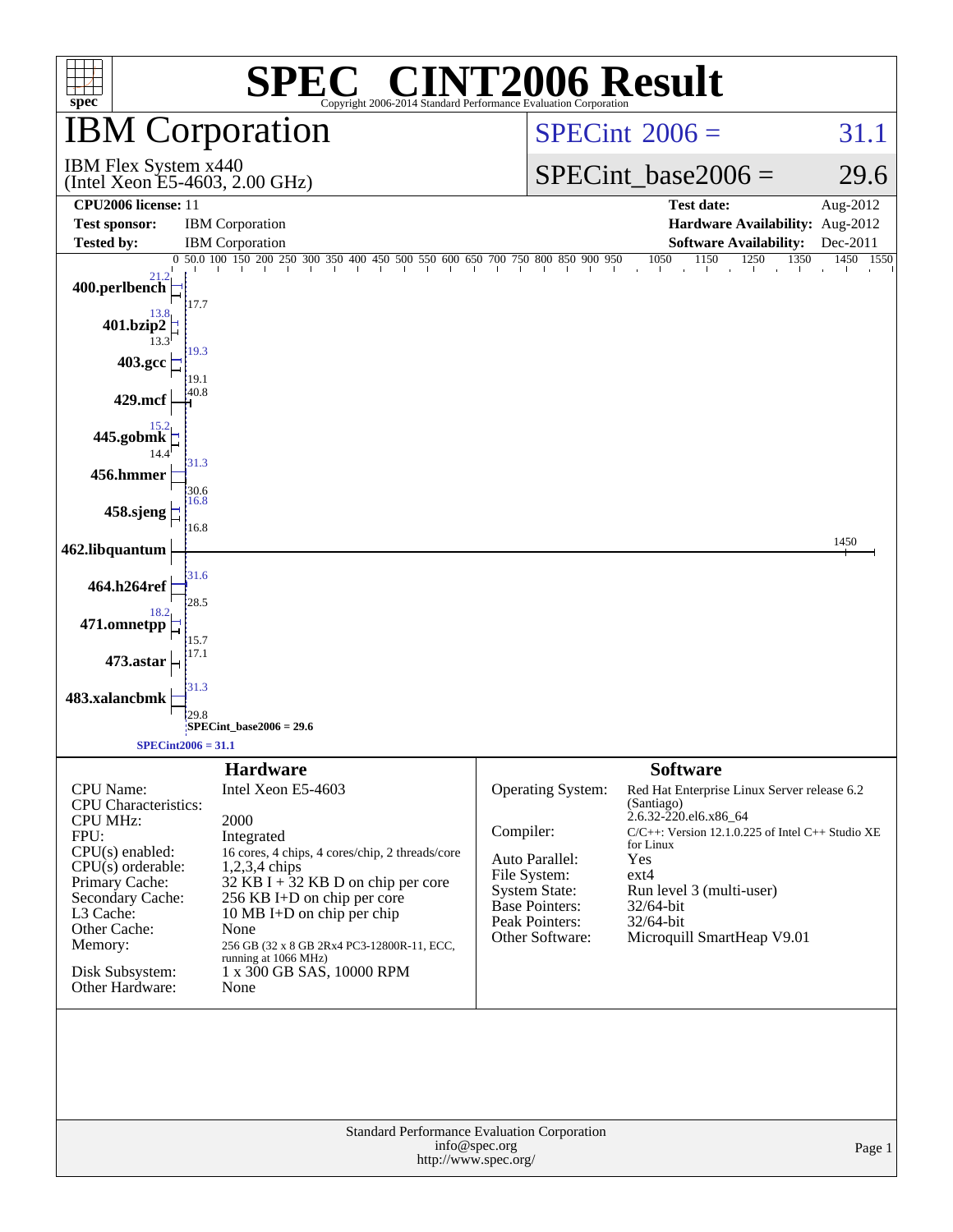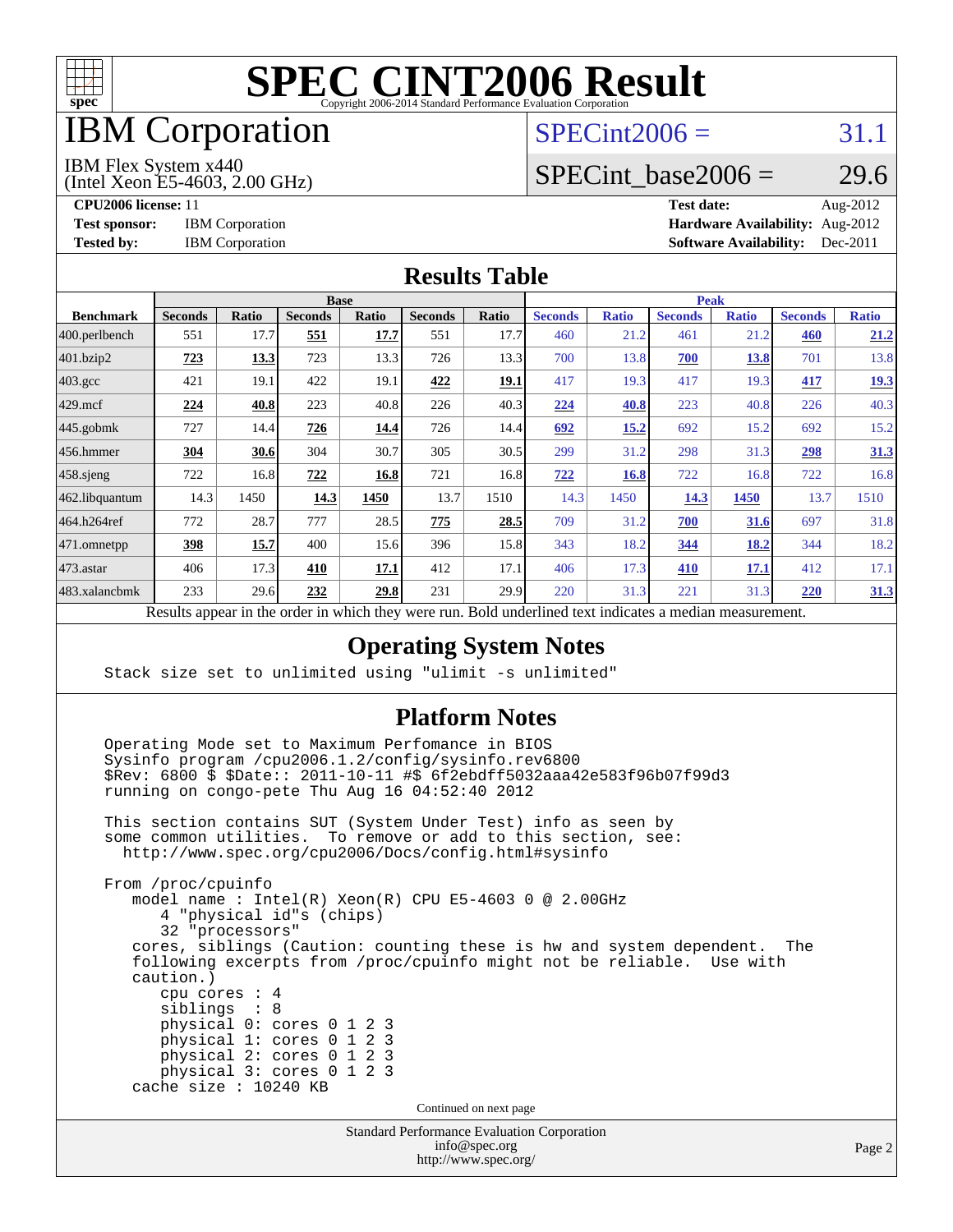

## IBM Corporation

### $SPECint2006 = 31.1$  $SPECint2006 = 31.1$

#### IBM Flex System x440

(Intel Xeon E5-4603, 2.00 GHz)

SPECint base2006 =  $29.6$ 

**[CPU2006 license:](http://www.spec.org/auto/cpu2006/Docs/result-fields.html#CPU2006license)** 11 **[Test date:](http://www.spec.org/auto/cpu2006/Docs/result-fields.html#Testdate)** Aug-2012 **[Test sponsor:](http://www.spec.org/auto/cpu2006/Docs/result-fields.html#Testsponsor)** IBM Corporation **[Hardware Availability:](http://www.spec.org/auto/cpu2006/Docs/result-fields.html#HardwareAvailability)** Aug-2012 **[Tested by:](http://www.spec.org/auto/cpu2006/Docs/result-fields.html#Testedby)** IBM Corporation **[Software Availability:](http://www.spec.org/auto/cpu2006/Docs/result-fields.html#SoftwareAvailability)** Dec-2011

### **[Results Table](http://www.spec.org/auto/cpu2006/Docs/result-fields.html#ResultsTable)**

|                                                                                             | <b>Base</b>    |              |                |              |                |       |                | <b>Peak</b>  |                |              |                |              |  |
|---------------------------------------------------------------------------------------------|----------------|--------------|----------------|--------------|----------------|-------|----------------|--------------|----------------|--------------|----------------|--------------|--|
| <b>Benchmark</b>                                                                            | <b>Seconds</b> | <b>Ratio</b> | <b>Seconds</b> | <b>Ratio</b> | <b>Seconds</b> | Ratio | <b>Seconds</b> | <b>Ratio</b> | <b>Seconds</b> | <b>Ratio</b> | <b>Seconds</b> | <b>Ratio</b> |  |
| 400.perlbench                                                                               | 551            | 17.7         | 551            | 17.7         | 551            | 17.7  | 460            | 21.2         | 461            | 21.2         | 460            | 21.2         |  |
| 401.bzip2                                                                                   | 723            | 13.3         | 723            | 13.3         | 726            | 13.3  | 700            | 13.8         | 700            | 13.8         | 701            | 13.8         |  |
| $403.\mathrm{gcc}$                                                                          | 421            | 19.1         | 422            | 19.1         | 422            | 19.1  | 417            | 19.3         | 417            | 19.3         | 417            | <u>19.3</u>  |  |
| $429$ .mcf                                                                                  | 224            | 40.8         | 223            | 40.8         | 226            | 40.3  | 224            | 40.8         | 223            | 40.8         | 226            | 40.3         |  |
| $445$ .gobmk                                                                                | 727            | 14.4         | 726            | 14.4         | 726            | 14.4  | 692            | 15.2         | 692            | 15.2         | 692            | 15.2         |  |
| $456.$ hmmer                                                                                | 304            | 30.6         | 304            | 30.7         | 305            | 30.5  | 299            | 31.2         | 298            | 31.3         | 298            | 31.3         |  |
| $458$ .sjeng                                                                                | 722            | 16.8         | 722            | 16.8         | 721            | 16.8  | 722            | 16.8         | 722            | 16.8         | 722            | 16.8         |  |
| 462.libquantum                                                                              | 14.3           | 1450         | 14.3           | 1450         | 13.7           | 1510  | 14.3           | 1450         | 14.3           | 1450         | 13.7           | 1510         |  |
| 464.h264ref                                                                                 | 772            | 28.7         | 777            | 28.5         | 775            | 28.5  | 709            | 31.2         | 700            | 31.6         | 697            | 31.8         |  |
| 471.omnetpp                                                                                 | 398            | 15.7         | 400            | 15.6         | 396            | 15.8  | 343            | 18.2         | 344            | 18.2         | 344            | 18.2         |  |
| $473.$ astar                                                                                | 406            | 17.3         | 410            | 17.1         | 412            | 17.1  | 406            | 17.3         | 410            | 17.1         | 412            | 17.1         |  |
| 483.xalancbmk                                                                               | 233            | 29.6         | 232            | 29.8         | 231            | 29.9  | 220            | 31.3         | 221            | 31.3         | 220            | <u>31.3</u>  |  |
| D.<br>1.1<br>1.1.1<br>$\sim$ $\sim$ $\sim$<br>$\cdot$<br>T11<br>$1 \quad 1$<br>$\mathbf{1}$ |                |              |                |              |                |       |                |              |                |              |                |              |  |

Results appear in the [order in which they were run.](http://www.spec.org/auto/cpu2006/Docs/result-fields.html#RunOrder) Bold underlined text [indicates a median measurement.](http://www.spec.org/auto/cpu2006/Docs/result-fields.html#Median)

### **[Operating System Notes](http://www.spec.org/auto/cpu2006/Docs/result-fields.html#OperatingSystemNotes)**

Stack size set to unlimited using "ulimit -s unlimited"

#### **[Platform Notes](http://www.spec.org/auto/cpu2006/Docs/result-fields.html#PlatformNotes)**

 Operating Mode set to Maximum Perfomance in BIOS Sysinfo program /cpu2006.1.2/config/sysinfo.rev6800 \$Rev: 6800 \$ \$Date:: 2011-10-11 #\$ 6f2ebdff5032aaa42e583f96b07f99d3 running on congo-pete Thu Aug 16 04:52:40 2012

 This section contains SUT (System Under Test) info as seen by some common utilities. To remove or add to this section, see: <http://www.spec.org/cpu2006/Docs/config.html#sysinfo>

 From /proc/cpuinfo model name : Intel(R) Xeon(R) CPU E5-4603 0 @ 2.00GHz 4 "physical id"s (chips) 32 "processors" cores, siblings (Caution: counting these is hw and system dependent. The following excerpts from /proc/cpuinfo might not be reliable. Use with caution.) cpu cores : 4 siblings : 8 physical 0: cores 0 1 2 3 physical 1: cores 0 1 2 3 physical 2: cores 0 1 2 3 physical 3: cores 0 1 2 3 cache size : 10240 KB

Continued on next page

| <b>Standard Performance Evaluation Corporation</b> |
|----------------------------------------------------|
| info@spec.org                                      |
| http://www.spec.org/                               |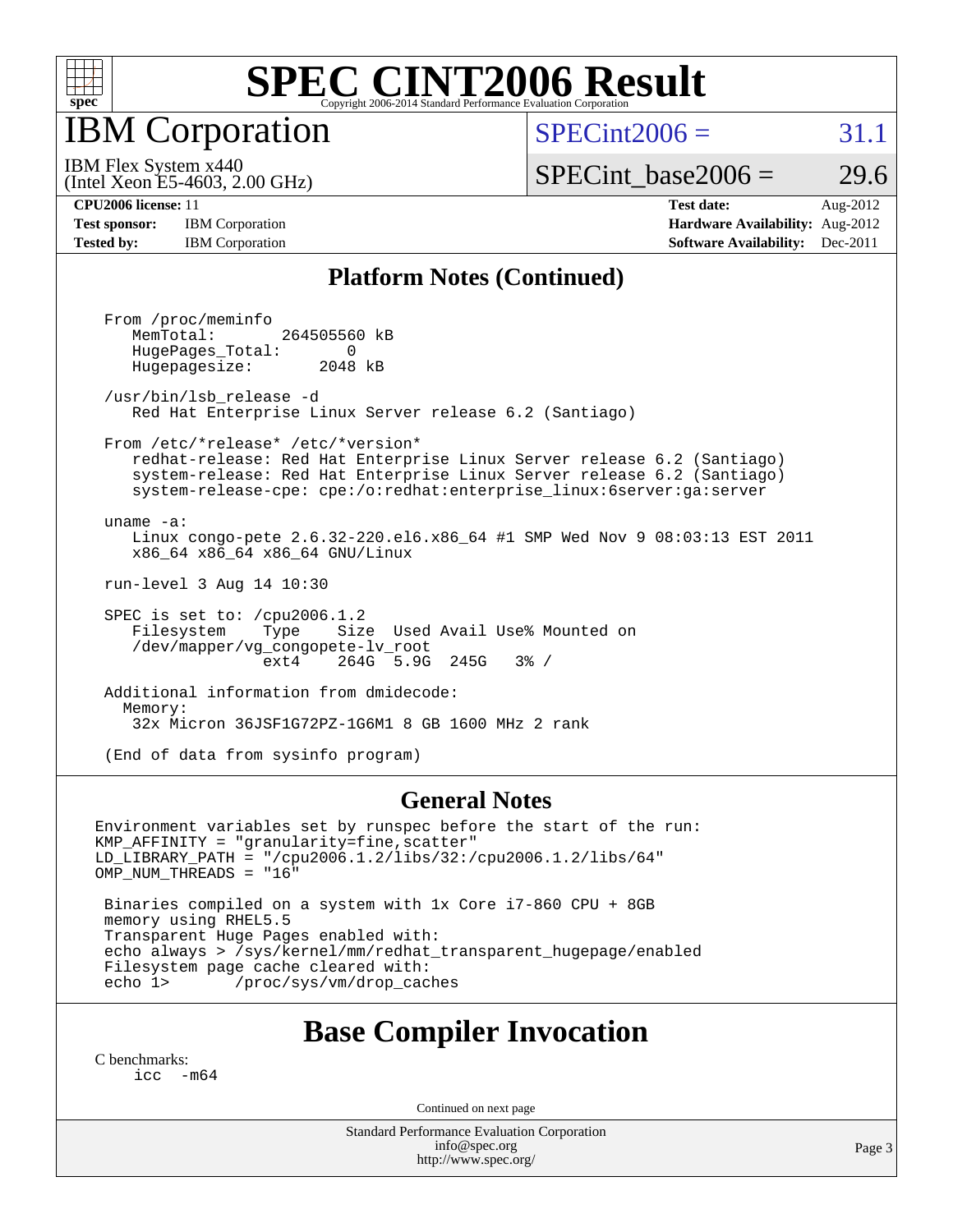

IBM Corporation

 $SPECint2006 = 31.1$  $SPECint2006 = 31.1$ 

(Intel Xeon E5-4603, 2.00 GHz) IBM Flex System x440

SPECint base2006 =  $29.6$ 

**[Test sponsor:](http://www.spec.org/auto/cpu2006/Docs/result-fields.html#Testsponsor)** IBM Corporation **[Hardware Availability:](http://www.spec.org/auto/cpu2006/Docs/result-fields.html#HardwareAvailability)** Aug-2012

**[CPU2006 license:](http://www.spec.org/auto/cpu2006/Docs/result-fields.html#CPU2006license)** 11 **[Test date:](http://www.spec.org/auto/cpu2006/Docs/result-fields.html#Testdate)** Aug-2012 **[Tested by:](http://www.spec.org/auto/cpu2006/Docs/result-fields.html#Testedby)** IBM Corporation **IBM** Corporation **[Software Availability:](http://www.spec.org/auto/cpu2006/Docs/result-fields.html#SoftwareAvailability)** Dec-2011

#### **[Platform Notes \(Continued\)](http://www.spec.org/auto/cpu2006/Docs/result-fields.html#PlatformNotes)**

 From /proc/meminfo MemTotal: 264505560 kB HugePages\_Total: 0<br>Hugepagesize: 2048 kB Hugepagesize: /usr/bin/lsb\_release -d Red Hat Enterprise Linux Server release 6.2 (Santiago) From /etc/\*release\* /etc/\*version\* redhat-release: Red Hat Enterprise Linux Server release 6.2 (Santiago) system-release: Red Hat Enterprise Linux Server release 6.2 (Santiago) system-release-cpe: cpe:/o:redhat:enterprise\_linux:6server:ga:server uname -a: Linux congo-pete 2.6.32-220.el6.x86\_64 #1 SMP Wed Nov 9 08:03:13 EST 2011 x86\_64 x86\_64 x86\_64 GNU/Linux run-level 3 Aug 14 10:30 SPEC is set to: /cpu2006.1.2 Filesystem Type Size Used Avail Use% Mounted on /dev/mapper/vg\_congopete-lv\_root ext4 264G 5.9G 245G 3% / Additional information from dmidecode: Memory: 32x Micron 36JSF1G72PZ-1G6M1 8 GB 1600 MHz 2 rank

(End of data from sysinfo program)

#### **[General Notes](http://www.spec.org/auto/cpu2006/Docs/result-fields.html#GeneralNotes)**

Environment variables set by runspec before the start of the run: KMP\_AFFINITY = "granularity=fine,scatter" LD\_LIBRARY\_PATH = "/cpu2006.1.2/libs/32:/cpu2006.1.2/libs/64" OMP\_NUM\_THREADS = "16"

 Binaries compiled on a system with 1x Core i7-860 CPU + 8GB memory using RHEL5.5 Transparent Huge Pages enabled with: echo always > /sys/kernel/mm/redhat\_transparent\_hugepage/enabled Filesystem page cache cleared with:<br>echo 1> /proc/sys/ym/drop cac /proc/sys/vm/drop\_caches

### **[Base Compiler Invocation](http://www.spec.org/auto/cpu2006/Docs/result-fields.html#BaseCompilerInvocation)**

[C benchmarks](http://www.spec.org/auto/cpu2006/Docs/result-fields.html#Cbenchmarks): [icc -m64](http://www.spec.org/cpu2006/results/res2012q3/cpu2006-20120823-24314.flags.html#user_CCbase_intel_icc_64bit_f346026e86af2a669e726fe758c88044)

Continued on next page

Standard Performance Evaluation Corporation [info@spec.org](mailto:info@spec.org) <http://www.spec.org/>

Page 3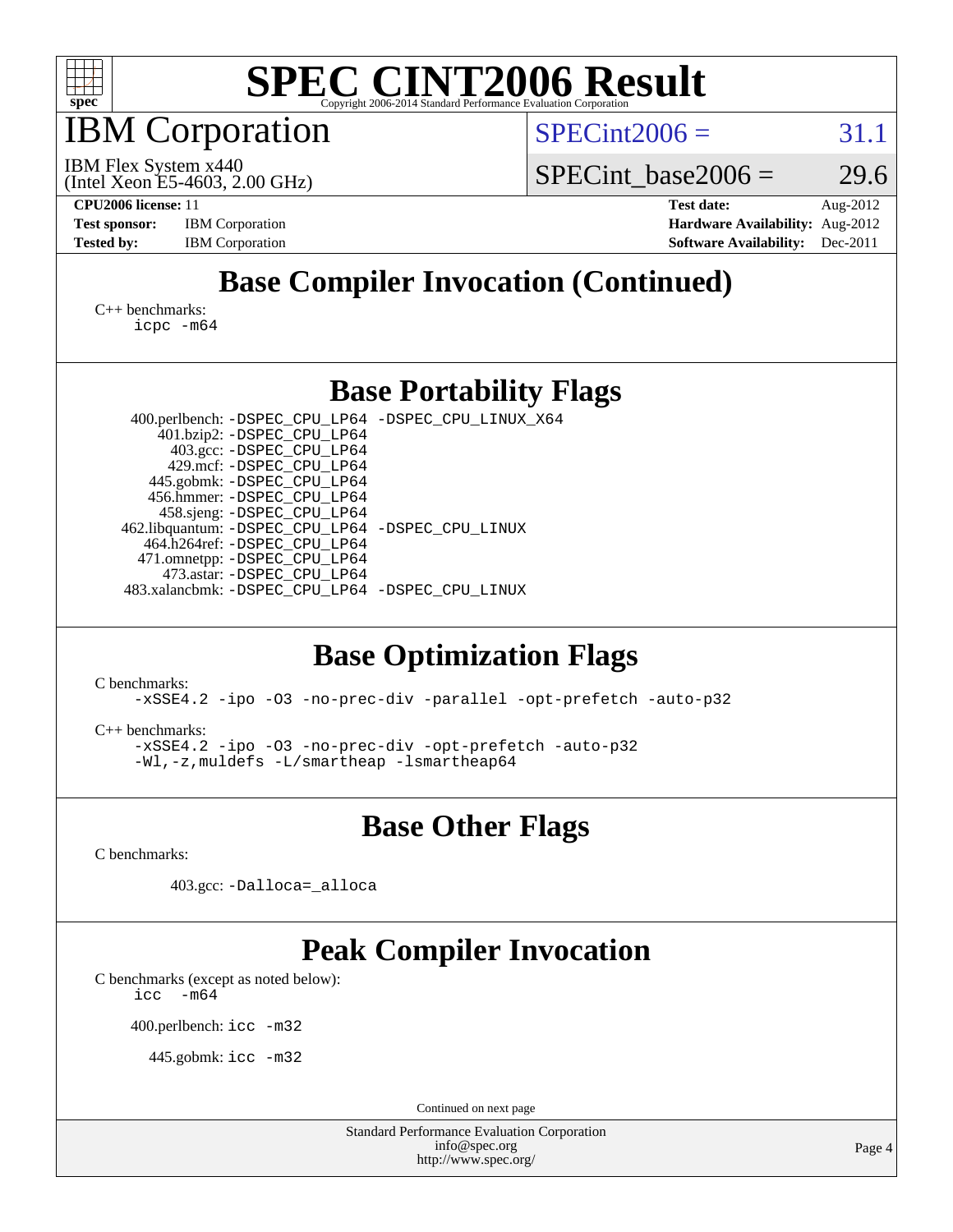

IBM Corporation

 $SPECint2006 = 31.1$  $SPECint2006 = 31.1$ 

(Intel Xeon E5-4603, 2.00 GHz) IBM Flex System x440

SPECint base2006 =  $29.6$ 

**[CPU2006 license:](http://www.spec.org/auto/cpu2006/Docs/result-fields.html#CPU2006license)** 11 **[Test date:](http://www.spec.org/auto/cpu2006/Docs/result-fields.html#Testdate)** Aug-2012 **[Test sponsor:](http://www.spec.org/auto/cpu2006/Docs/result-fields.html#Testsponsor)** IBM Corporation **[Hardware Availability:](http://www.spec.org/auto/cpu2006/Docs/result-fields.html#HardwareAvailability)** Aug-2012 **[Tested by:](http://www.spec.org/auto/cpu2006/Docs/result-fields.html#Testedby)** IBM Corporation **[Software Availability:](http://www.spec.org/auto/cpu2006/Docs/result-fields.html#SoftwareAvailability)** Dec-2011

## **[Base Compiler Invocation \(Continued\)](http://www.spec.org/auto/cpu2006/Docs/result-fields.html#BaseCompilerInvocation)**

[C++ benchmarks:](http://www.spec.org/auto/cpu2006/Docs/result-fields.html#CXXbenchmarks) [icpc -m64](http://www.spec.org/cpu2006/results/res2012q3/cpu2006-20120823-24314.flags.html#user_CXXbase_intel_icpc_64bit_fc66a5337ce925472a5c54ad6a0de310)

### **[Base Portability Flags](http://www.spec.org/auto/cpu2006/Docs/result-fields.html#BasePortabilityFlags)**

 400.perlbench: [-DSPEC\\_CPU\\_LP64](http://www.spec.org/cpu2006/results/res2012q3/cpu2006-20120823-24314.flags.html#b400.perlbench_basePORTABILITY_DSPEC_CPU_LP64) [-DSPEC\\_CPU\\_LINUX\\_X64](http://www.spec.org/cpu2006/results/res2012q3/cpu2006-20120823-24314.flags.html#b400.perlbench_baseCPORTABILITY_DSPEC_CPU_LINUX_X64) 401.bzip2: [-DSPEC\\_CPU\\_LP64](http://www.spec.org/cpu2006/results/res2012q3/cpu2006-20120823-24314.flags.html#suite_basePORTABILITY401_bzip2_DSPEC_CPU_LP64) 403.gcc: [-DSPEC\\_CPU\\_LP64](http://www.spec.org/cpu2006/results/res2012q3/cpu2006-20120823-24314.flags.html#suite_basePORTABILITY403_gcc_DSPEC_CPU_LP64) 429.mcf: [-DSPEC\\_CPU\\_LP64](http://www.spec.org/cpu2006/results/res2012q3/cpu2006-20120823-24314.flags.html#suite_basePORTABILITY429_mcf_DSPEC_CPU_LP64) 445.gobmk: [-DSPEC\\_CPU\\_LP64](http://www.spec.org/cpu2006/results/res2012q3/cpu2006-20120823-24314.flags.html#suite_basePORTABILITY445_gobmk_DSPEC_CPU_LP64) 456.hmmer: [-DSPEC\\_CPU\\_LP64](http://www.spec.org/cpu2006/results/res2012q3/cpu2006-20120823-24314.flags.html#suite_basePORTABILITY456_hmmer_DSPEC_CPU_LP64) 458.sjeng: [-DSPEC\\_CPU\\_LP64](http://www.spec.org/cpu2006/results/res2012q3/cpu2006-20120823-24314.flags.html#suite_basePORTABILITY458_sjeng_DSPEC_CPU_LP64) 462.libquantum: [-DSPEC\\_CPU\\_LP64](http://www.spec.org/cpu2006/results/res2012q3/cpu2006-20120823-24314.flags.html#suite_basePORTABILITY462_libquantum_DSPEC_CPU_LP64) [-DSPEC\\_CPU\\_LINUX](http://www.spec.org/cpu2006/results/res2012q3/cpu2006-20120823-24314.flags.html#b462.libquantum_baseCPORTABILITY_DSPEC_CPU_LINUX) 464.h264ref: [-DSPEC\\_CPU\\_LP64](http://www.spec.org/cpu2006/results/res2012q3/cpu2006-20120823-24314.flags.html#suite_basePORTABILITY464_h264ref_DSPEC_CPU_LP64) 471.omnetpp: [-DSPEC\\_CPU\\_LP64](http://www.spec.org/cpu2006/results/res2012q3/cpu2006-20120823-24314.flags.html#suite_basePORTABILITY471_omnetpp_DSPEC_CPU_LP64) 473.astar: [-DSPEC\\_CPU\\_LP64](http://www.spec.org/cpu2006/results/res2012q3/cpu2006-20120823-24314.flags.html#suite_basePORTABILITY473_astar_DSPEC_CPU_LP64) 483.xalancbmk: [-DSPEC\\_CPU\\_LP64](http://www.spec.org/cpu2006/results/res2012q3/cpu2006-20120823-24314.flags.html#suite_basePORTABILITY483_xalancbmk_DSPEC_CPU_LP64) [-DSPEC\\_CPU\\_LINUX](http://www.spec.org/cpu2006/results/res2012q3/cpu2006-20120823-24314.flags.html#b483.xalancbmk_baseCXXPORTABILITY_DSPEC_CPU_LINUX)

## **[Base Optimization Flags](http://www.spec.org/auto/cpu2006/Docs/result-fields.html#BaseOptimizationFlags)**

[C benchmarks](http://www.spec.org/auto/cpu2006/Docs/result-fields.html#Cbenchmarks):

[-xSSE4.2](http://www.spec.org/cpu2006/results/res2012q3/cpu2006-20120823-24314.flags.html#user_CCbase_f-xSSE42_f91528193cf0b216347adb8b939d4107) [-ipo](http://www.spec.org/cpu2006/results/res2012q3/cpu2006-20120823-24314.flags.html#user_CCbase_f-ipo) [-O3](http://www.spec.org/cpu2006/results/res2012q3/cpu2006-20120823-24314.flags.html#user_CCbase_f-O3) [-no-prec-div](http://www.spec.org/cpu2006/results/res2012q3/cpu2006-20120823-24314.flags.html#user_CCbase_f-no-prec-div) [-parallel](http://www.spec.org/cpu2006/results/res2012q3/cpu2006-20120823-24314.flags.html#user_CCbase_f-parallel) [-opt-prefetch](http://www.spec.org/cpu2006/results/res2012q3/cpu2006-20120823-24314.flags.html#user_CCbase_f-opt-prefetch) [-auto-p32](http://www.spec.org/cpu2006/results/res2012q3/cpu2006-20120823-24314.flags.html#user_CCbase_f-auto-p32)

[C++ benchmarks:](http://www.spec.org/auto/cpu2006/Docs/result-fields.html#CXXbenchmarks)

[-xSSE4.2](http://www.spec.org/cpu2006/results/res2012q3/cpu2006-20120823-24314.flags.html#user_CXXbase_f-xSSE42_f91528193cf0b216347adb8b939d4107) [-ipo](http://www.spec.org/cpu2006/results/res2012q3/cpu2006-20120823-24314.flags.html#user_CXXbase_f-ipo) [-O3](http://www.spec.org/cpu2006/results/res2012q3/cpu2006-20120823-24314.flags.html#user_CXXbase_f-O3) [-no-prec-div](http://www.spec.org/cpu2006/results/res2012q3/cpu2006-20120823-24314.flags.html#user_CXXbase_f-no-prec-div) [-opt-prefetch](http://www.spec.org/cpu2006/results/res2012q3/cpu2006-20120823-24314.flags.html#user_CXXbase_f-opt-prefetch) [-auto-p32](http://www.spec.org/cpu2006/results/res2012q3/cpu2006-20120823-24314.flags.html#user_CXXbase_f-auto-p32) [-Wl,-z,muldefs](http://www.spec.org/cpu2006/results/res2012q3/cpu2006-20120823-24314.flags.html#user_CXXbase_link_force_multiple1_74079c344b956b9658436fd1b6dd3a8a) [-L/smartheap -lsmartheap64](http://www.spec.org/cpu2006/results/res2012q3/cpu2006-20120823-24314.flags.html#user_CXXbase_SmartHeap64_5e654037dadeae1fe403ab4b4466e60b)

**[Base Other Flags](http://www.spec.org/auto/cpu2006/Docs/result-fields.html#BaseOtherFlags)**

[C benchmarks](http://www.spec.org/auto/cpu2006/Docs/result-fields.html#Cbenchmarks):

403.gcc: [-Dalloca=\\_alloca](http://www.spec.org/cpu2006/results/res2012q3/cpu2006-20120823-24314.flags.html#b403.gcc_baseEXTRA_CFLAGS_Dalloca_be3056838c12de2578596ca5467af7f3)

## **[Peak Compiler Invocation](http://www.spec.org/auto/cpu2006/Docs/result-fields.html#PeakCompilerInvocation)**

[C benchmarks \(except as noted below\)](http://www.spec.org/auto/cpu2006/Docs/result-fields.html#Cbenchmarksexceptasnotedbelow):  $\text{icc}$  -m64

400.perlbench: [icc -m32](http://www.spec.org/cpu2006/results/res2012q3/cpu2006-20120823-24314.flags.html#user_peakCCLD400_perlbench_intel_icc_a6a621f8d50482236b970c6ac5f55f93)

445.gobmk: [icc -m32](http://www.spec.org/cpu2006/results/res2012q3/cpu2006-20120823-24314.flags.html#user_peakCCLD445_gobmk_intel_icc_a6a621f8d50482236b970c6ac5f55f93)

Continued on next page

Standard Performance Evaluation Corporation [info@spec.org](mailto:info@spec.org) <http://www.spec.org/>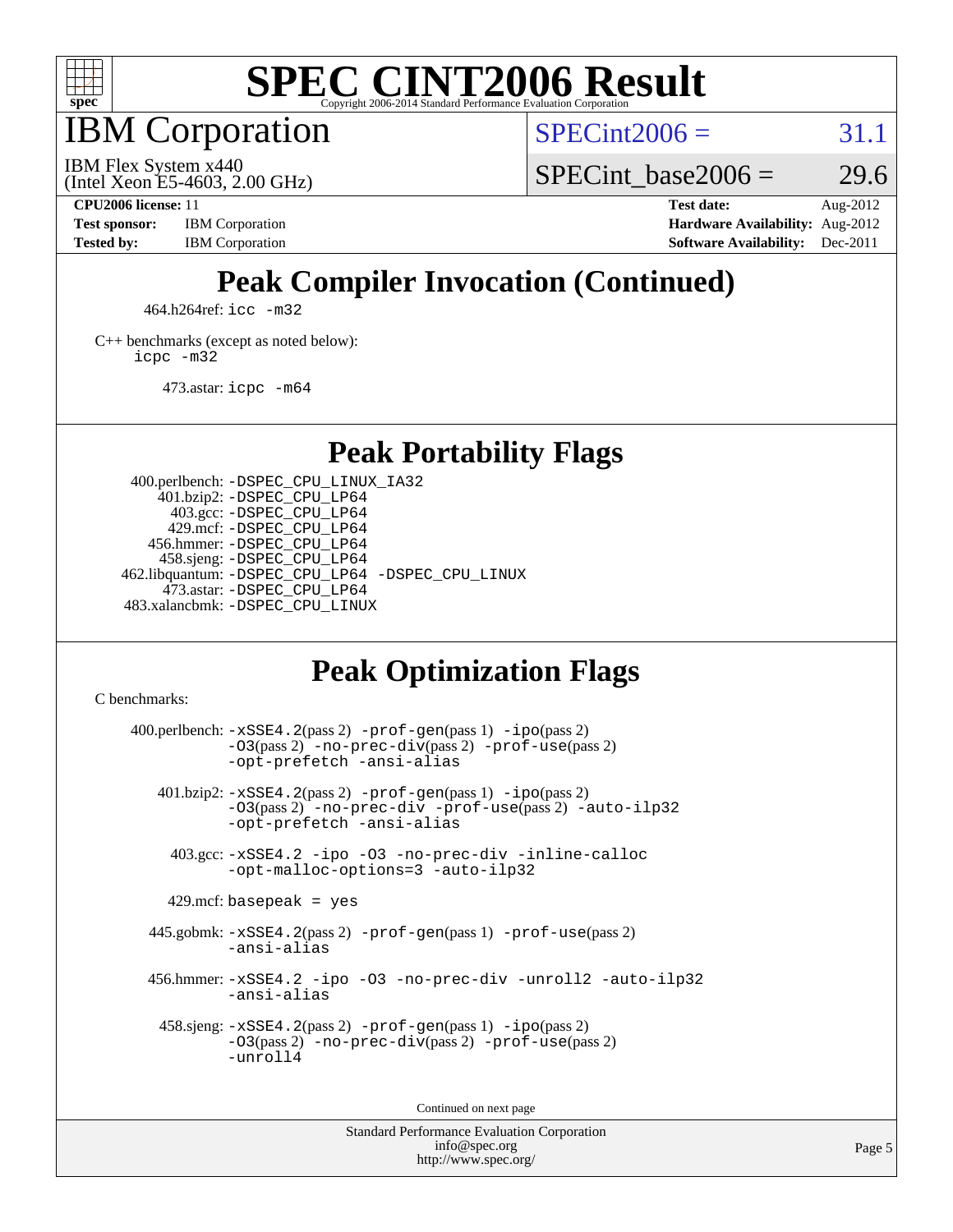

IBM Corporation

 $SPECint2006 = 31.1$  $SPECint2006 = 31.1$ 

(Intel Xeon E5-4603, 2.00 GHz) IBM Flex System x440

SPECint base2006 =  $29.6$ 

**[CPU2006 license:](http://www.spec.org/auto/cpu2006/Docs/result-fields.html#CPU2006license)** 11 **[Test date:](http://www.spec.org/auto/cpu2006/Docs/result-fields.html#Testdate)** Aug-2012 **[Test sponsor:](http://www.spec.org/auto/cpu2006/Docs/result-fields.html#Testsponsor)** IBM Corporation **[Hardware Availability:](http://www.spec.org/auto/cpu2006/Docs/result-fields.html#HardwareAvailability)** Aug-2012 **[Tested by:](http://www.spec.org/auto/cpu2006/Docs/result-fields.html#Testedby)** IBM Corporation **[Software Availability:](http://www.spec.org/auto/cpu2006/Docs/result-fields.html#SoftwareAvailability)** Dec-2011

## **[Peak Compiler Invocation \(Continued\)](http://www.spec.org/auto/cpu2006/Docs/result-fields.html#PeakCompilerInvocation)**

464.h264ref: [icc -m32](http://www.spec.org/cpu2006/results/res2012q3/cpu2006-20120823-24314.flags.html#user_peakCCLD464_h264ref_intel_icc_a6a621f8d50482236b970c6ac5f55f93)

[C++ benchmarks \(except as noted below\):](http://www.spec.org/auto/cpu2006/Docs/result-fields.html#CXXbenchmarksexceptasnotedbelow) [icpc -m32](http://www.spec.org/cpu2006/results/res2012q3/cpu2006-20120823-24314.flags.html#user_CXXpeak_intel_icpc_4e5a5ef1a53fd332b3c49e69c3330699)

473.astar: [icpc -m64](http://www.spec.org/cpu2006/results/res2012q3/cpu2006-20120823-24314.flags.html#user_peakCXXLD473_astar_intel_icpc_64bit_fc66a5337ce925472a5c54ad6a0de310)

**[Peak Portability Flags](http://www.spec.org/auto/cpu2006/Docs/result-fields.html#PeakPortabilityFlags)**

 400.perlbench: [-DSPEC\\_CPU\\_LINUX\\_IA32](http://www.spec.org/cpu2006/results/res2012q3/cpu2006-20120823-24314.flags.html#b400.perlbench_peakCPORTABILITY_DSPEC_CPU_LINUX_IA32) 401.bzip2: [-DSPEC\\_CPU\\_LP64](http://www.spec.org/cpu2006/results/res2012q3/cpu2006-20120823-24314.flags.html#suite_peakPORTABILITY401_bzip2_DSPEC_CPU_LP64) 403.gcc: [-DSPEC\\_CPU\\_LP64](http://www.spec.org/cpu2006/results/res2012q3/cpu2006-20120823-24314.flags.html#suite_peakPORTABILITY403_gcc_DSPEC_CPU_LP64) 429.mcf: [-DSPEC\\_CPU\\_LP64](http://www.spec.org/cpu2006/results/res2012q3/cpu2006-20120823-24314.flags.html#suite_peakPORTABILITY429_mcf_DSPEC_CPU_LP64) 456.hmmer: [-DSPEC\\_CPU\\_LP64](http://www.spec.org/cpu2006/results/res2012q3/cpu2006-20120823-24314.flags.html#suite_peakPORTABILITY456_hmmer_DSPEC_CPU_LP64) 458.sjeng: [-DSPEC\\_CPU\\_LP64](http://www.spec.org/cpu2006/results/res2012q3/cpu2006-20120823-24314.flags.html#suite_peakPORTABILITY458_sjeng_DSPEC_CPU_LP64) 462.libquantum: [-DSPEC\\_CPU\\_LP64](http://www.spec.org/cpu2006/results/res2012q3/cpu2006-20120823-24314.flags.html#suite_peakPORTABILITY462_libquantum_DSPEC_CPU_LP64) [-DSPEC\\_CPU\\_LINUX](http://www.spec.org/cpu2006/results/res2012q3/cpu2006-20120823-24314.flags.html#b462.libquantum_peakCPORTABILITY_DSPEC_CPU_LINUX) 473.astar: [-DSPEC\\_CPU\\_LP64](http://www.spec.org/cpu2006/results/res2012q3/cpu2006-20120823-24314.flags.html#suite_peakPORTABILITY473_astar_DSPEC_CPU_LP64) 483.xalancbmk: [-DSPEC\\_CPU\\_LINUX](http://www.spec.org/cpu2006/results/res2012q3/cpu2006-20120823-24314.flags.html#b483.xalancbmk_peakCXXPORTABILITY_DSPEC_CPU_LINUX)

## **[Peak Optimization Flags](http://www.spec.org/auto/cpu2006/Docs/result-fields.html#PeakOptimizationFlags)**

[C benchmarks](http://www.spec.org/auto/cpu2006/Docs/result-fields.html#Cbenchmarks):

 $400.$ perlbench:  $-xSSE4$ .  $2(pass 2)$  -prof-qen(pass 1) [-ipo](http://www.spec.org/cpu2006/results/res2012q3/cpu2006-20120823-24314.flags.html#user_peakPASS2_CFLAGSPASS2_LDCFLAGS400_perlbench_f-ipo)(pass 2) [-O3](http://www.spec.org/cpu2006/results/res2012q3/cpu2006-20120823-24314.flags.html#user_peakPASS2_CFLAGSPASS2_LDCFLAGS400_perlbench_f-O3)(pass 2) [-no-prec-div](http://www.spec.org/cpu2006/results/res2012q3/cpu2006-20120823-24314.flags.html#user_peakPASS2_CFLAGSPASS2_LDCFLAGS400_perlbench_f-no-prec-div)(pass 2) [-prof-use](http://www.spec.org/cpu2006/results/res2012q3/cpu2006-20120823-24314.flags.html#user_peakPASS2_CFLAGSPASS2_LDCFLAGS400_perlbench_prof_use_bccf7792157ff70d64e32fe3e1250b55)(pass 2) [-opt-prefetch](http://www.spec.org/cpu2006/results/res2012q3/cpu2006-20120823-24314.flags.html#user_peakCOPTIMIZE400_perlbench_f-opt-prefetch) [-ansi-alias](http://www.spec.org/cpu2006/results/res2012q3/cpu2006-20120823-24314.flags.html#user_peakCOPTIMIZE400_perlbench_f-ansi-alias) 401.bzip2: [-xSSE4.2](http://www.spec.org/cpu2006/results/res2012q3/cpu2006-20120823-24314.flags.html#user_peakPASS2_CFLAGSPASS2_LDCFLAGS401_bzip2_f-xSSE42_f91528193cf0b216347adb8b939d4107)(pass 2) [-prof-gen](http://www.spec.org/cpu2006/results/res2012q3/cpu2006-20120823-24314.flags.html#user_peakPASS1_CFLAGSPASS1_LDCFLAGS401_bzip2_prof_gen_e43856698f6ca7b7e442dfd80e94a8fc)(pass 1) [-ipo](http://www.spec.org/cpu2006/results/res2012q3/cpu2006-20120823-24314.flags.html#user_peakPASS2_CFLAGSPASS2_LDCFLAGS401_bzip2_f-ipo)(pass 2) [-O3](http://www.spec.org/cpu2006/results/res2012q3/cpu2006-20120823-24314.flags.html#user_peakPASS2_CFLAGSPASS2_LDCFLAGS401_bzip2_f-O3)(pass 2) [-no-prec-div](http://www.spec.org/cpu2006/results/res2012q3/cpu2006-20120823-24314.flags.html#user_peakCOPTIMIZEPASS2_CFLAGSPASS2_LDCFLAGS401_bzip2_f-no-prec-div) [-prof-use](http://www.spec.org/cpu2006/results/res2012q3/cpu2006-20120823-24314.flags.html#user_peakPASS2_CFLAGSPASS2_LDCFLAGS401_bzip2_prof_use_bccf7792157ff70d64e32fe3e1250b55)(pass 2) [-auto-ilp32](http://www.spec.org/cpu2006/results/res2012q3/cpu2006-20120823-24314.flags.html#user_peakCOPTIMIZE401_bzip2_f-auto-ilp32) [-opt-prefetch](http://www.spec.org/cpu2006/results/res2012q3/cpu2006-20120823-24314.flags.html#user_peakCOPTIMIZE401_bzip2_f-opt-prefetch) [-ansi-alias](http://www.spec.org/cpu2006/results/res2012q3/cpu2006-20120823-24314.flags.html#user_peakCOPTIMIZE401_bzip2_f-ansi-alias) 403.gcc: [-xSSE4.2](http://www.spec.org/cpu2006/results/res2012q3/cpu2006-20120823-24314.flags.html#user_peakCOPTIMIZE403_gcc_f-xSSE42_f91528193cf0b216347adb8b939d4107) [-ipo](http://www.spec.org/cpu2006/results/res2012q3/cpu2006-20120823-24314.flags.html#user_peakCOPTIMIZE403_gcc_f-ipo) [-O3](http://www.spec.org/cpu2006/results/res2012q3/cpu2006-20120823-24314.flags.html#user_peakCOPTIMIZE403_gcc_f-O3) [-no-prec-div](http://www.spec.org/cpu2006/results/res2012q3/cpu2006-20120823-24314.flags.html#user_peakCOPTIMIZE403_gcc_f-no-prec-div) [-inline-calloc](http://www.spec.org/cpu2006/results/res2012q3/cpu2006-20120823-24314.flags.html#user_peakCOPTIMIZE403_gcc_f-inline-calloc) [-opt-malloc-options=3](http://www.spec.org/cpu2006/results/res2012q3/cpu2006-20120823-24314.flags.html#user_peakCOPTIMIZE403_gcc_f-opt-malloc-options_13ab9b803cf986b4ee62f0a5998c2238) [-auto-ilp32](http://www.spec.org/cpu2006/results/res2012q3/cpu2006-20120823-24314.flags.html#user_peakCOPTIMIZE403_gcc_f-auto-ilp32)  $429$ .mcf: basepeak = yes 445.gobmk: [-xSSE4.2](http://www.spec.org/cpu2006/results/res2012q3/cpu2006-20120823-24314.flags.html#user_peakPASS2_CFLAGSPASS2_LDCFLAGS445_gobmk_f-xSSE42_f91528193cf0b216347adb8b939d4107)(pass 2) [-prof-gen](http://www.spec.org/cpu2006/results/res2012q3/cpu2006-20120823-24314.flags.html#user_peakPASS1_CFLAGSPASS1_LDCFLAGS445_gobmk_prof_gen_e43856698f6ca7b7e442dfd80e94a8fc)(pass 1) [-prof-use](http://www.spec.org/cpu2006/results/res2012q3/cpu2006-20120823-24314.flags.html#user_peakPASS2_CFLAGSPASS2_LDCFLAGS445_gobmk_prof_use_bccf7792157ff70d64e32fe3e1250b55)(pass 2) [-ansi-alias](http://www.spec.org/cpu2006/results/res2012q3/cpu2006-20120823-24314.flags.html#user_peakCOPTIMIZE445_gobmk_f-ansi-alias) 456.hmmer: [-xSSE4.2](http://www.spec.org/cpu2006/results/res2012q3/cpu2006-20120823-24314.flags.html#user_peakCOPTIMIZE456_hmmer_f-xSSE42_f91528193cf0b216347adb8b939d4107) [-ipo](http://www.spec.org/cpu2006/results/res2012q3/cpu2006-20120823-24314.flags.html#user_peakCOPTIMIZE456_hmmer_f-ipo) [-O3](http://www.spec.org/cpu2006/results/res2012q3/cpu2006-20120823-24314.flags.html#user_peakCOPTIMIZE456_hmmer_f-O3) [-no-prec-div](http://www.spec.org/cpu2006/results/res2012q3/cpu2006-20120823-24314.flags.html#user_peakCOPTIMIZE456_hmmer_f-no-prec-div) [-unroll2](http://www.spec.org/cpu2006/results/res2012q3/cpu2006-20120823-24314.flags.html#user_peakCOPTIMIZE456_hmmer_f-unroll_784dae83bebfb236979b41d2422d7ec2) [-auto-ilp32](http://www.spec.org/cpu2006/results/res2012q3/cpu2006-20120823-24314.flags.html#user_peakCOPTIMIZE456_hmmer_f-auto-ilp32) [-ansi-alias](http://www.spec.org/cpu2006/results/res2012q3/cpu2006-20120823-24314.flags.html#user_peakCOPTIMIZE456_hmmer_f-ansi-alias) 458.sjeng: [-xSSE4.2](http://www.spec.org/cpu2006/results/res2012q3/cpu2006-20120823-24314.flags.html#user_peakPASS2_CFLAGSPASS2_LDCFLAGS458_sjeng_f-xSSE42_f91528193cf0b216347adb8b939d4107)(pass 2) [-prof-gen](http://www.spec.org/cpu2006/results/res2012q3/cpu2006-20120823-24314.flags.html#user_peakPASS1_CFLAGSPASS1_LDCFLAGS458_sjeng_prof_gen_e43856698f6ca7b7e442dfd80e94a8fc)(pass 1) [-ipo](http://www.spec.org/cpu2006/results/res2012q3/cpu2006-20120823-24314.flags.html#user_peakPASS2_CFLAGSPASS2_LDCFLAGS458_sjeng_f-ipo)(pass 2) [-O3](http://www.spec.org/cpu2006/results/res2012q3/cpu2006-20120823-24314.flags.html#user_peakPASS2_CFLAGSPASS2_LDCFLAGS458_sjeng_f-O3)(pass 2) [-no-prec-div](http://www.spec.org/cpu2006/results/res2012q3/cpu2006-20120823-24314.flags.html#user_peakPASS2_CFLAGSPASS2_LDCFLAGS458_sjeng_f-no-prec-div)(pass 2) [-prof-use](http://www.spec.org/cpu2006/results/res2012q3/cpu2006-20120823-24314.flags.html#user_peakPASS2_CFLAGSPASS2_LDCFLAGS458_sjeng_prof_use_bccf7792157ff70d64e32fe3e1250b55)(pass 2) [-unroll4](http://www.spec.org/cpu2006/results/res2012q3/cpu2006-20120823-24314.flags.html#user_peakCOPTIMIZE458_sjeng_f-unroll_4e5e4ed65b7fd20bdcd365bec371b81f)

Continued on next page

Standard Performance Evaluation Corporation [info@spec.org](mailto:info@spec.org) <http://www.spec.org/>